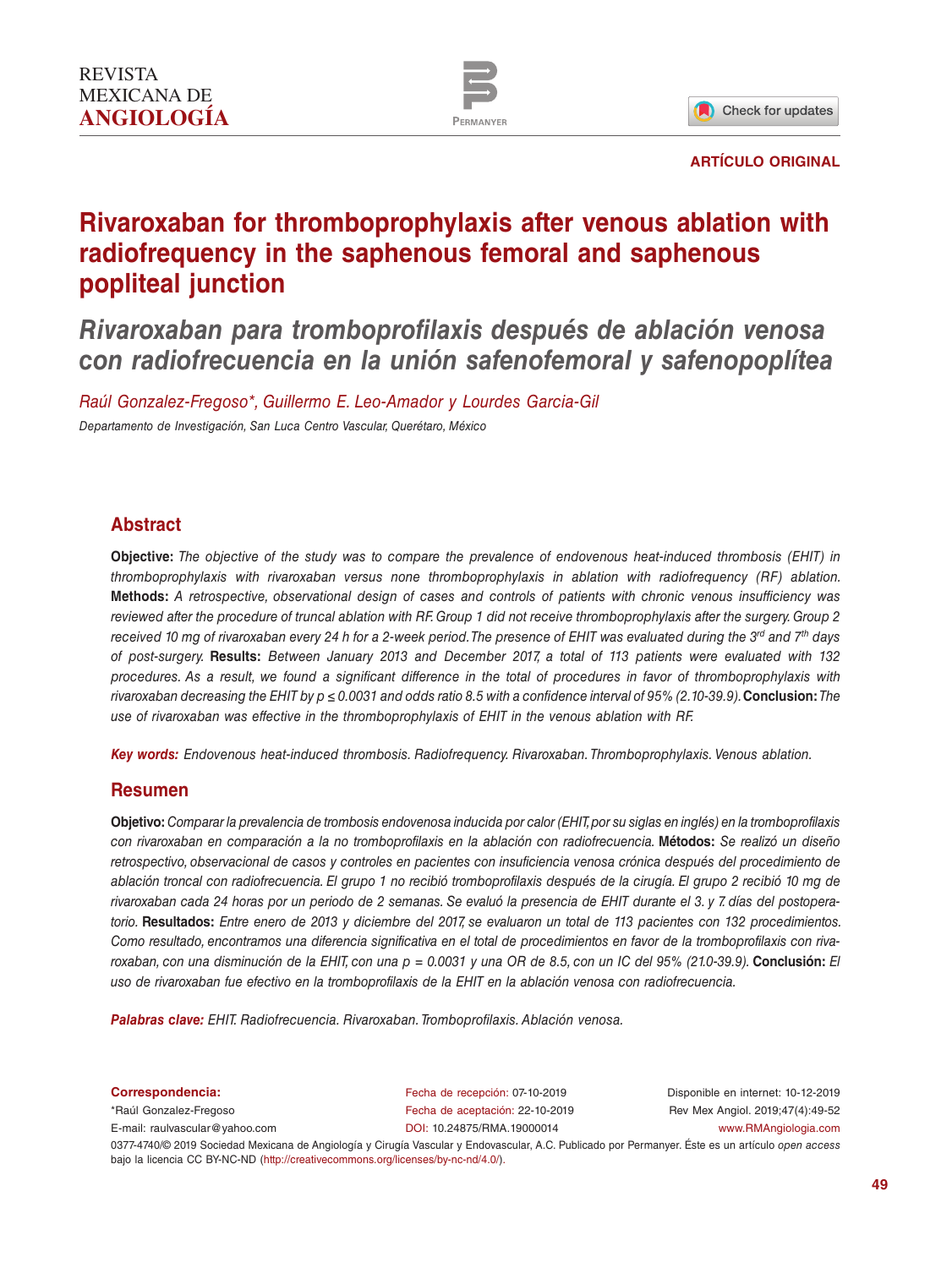



**ARTÍCULO ORIGINAL**

# **Rivaroxaban for thromboprophylaxis after venous ablation with radiofrequency in the saphenous femoral and saphenous popliteal junction**

*Rivaroxaban para tromboprofilaxis después de ablación venosa con radiofrecuencia en la unión safenofemoral y safenopoplítea*

*Raúl Gonzalez-Fregoso\*, Guillermo E. Leo-Amador y Lourdes Garcia-Gil Departamento de Investigación, San Luca Centro Vascular, Querétaro, México*

# **Abstract**

**Objective:** *The objective of the study was to compare the prevalence of endovenous heat-induced thrombosis (EHIT) in thromboprophylaxis with rivaroxaban versus none thromboprophylaxis in ablation with radiofrequency (RF) ablation.*  **Methods:** *A retrospective, observational design of cases and controls of patients with chronic venous insufficiency was reviewed after the procedure of truncal ablation with RF.Group 1 did not receive thromboprophylaxis after the surgery. Group 2*  received 10 mg of rivaroxaban every 24 h for a 2-week period. The presence of EHIT was evaluated during the 3<sup>rd</sup> and 7<sup>th</sup> days *of post-surgery.* **Results:** *Between January 2013 and December 2017, a total of 113 patients were evaluated with 132 procedures. As a result, we found a significant difference in the total of procedures in favor of thromboprophylaxis with rivaroxaban decreasing the EHIT by p* ≤ 0.0031 and odds ratio 8.5 with a confidence interval of 95% (2.10-39.9). **Conclusion:** The *use of rivaroxaban was effective in the thromboprophylaxis of EHIT in the venous ablation with RF.*

*Key words: Endovenous heat-induced thrombosis. Radiofrequency. Rivaroxaban. Thromboprophylaxis. Venous ablation.*

## **Resumen**

**Objetivo:** *Comparar la prevalencia de trombosis endovenosa inducida por calor (EHIT, por su siglas en inglés) en la tromboprofilaxis con rivaroxaban en comparación a la no tromboprofilaxis en la ablación con radiofrecuencia.* **Métodos:** *Se realizó un diseño retrospectivo, observacional de casos y controles en pacientes con insuficiencia venosa crónica después del procedimiento de ablación troncal con radiofrecuencia. El grupo 1 no recibió tromboprofilaxis después de la cirugía. El grupo 2 recibió 10 mg de rivaroxaban cada 24 horas por un periodo de 2 semanas. Se evaluó la presencia de EHIT durante el 3. y 7. días del postoperatorio.* **Resultados:** *Entre enero de 2013 y diciembre del 2017, se evaluaron un total de 113 pacientes con 132 procedimientos. Como resultado, encontramos una diferencia significativa en el total de procedimientos en favor de la tromboprofilaxis con rivaroxaban, con una disminución de la EHIT, con una p = 0.0031 y una OR de 8.5, con un IC del 95% (21.0-39.9).* **Conclusión:** *El uso de rivaroxaban fue efectivo en la tromboprofilaxis de la EHIT en la ablación venosa con radiofrecuencia.*

*Palabras clave: EHIT. Radiofrecuencia. Rivaroxaban. Tromboprofilaxis. Ablación venosa.*

Disponible en internet: 10-12-2019 Rev Mex Angiol. 2019;47(4):49-52 www.RMAngiologia.com Fecha de recepción: 07-10-2019 Fecha de aceptación: 22-10-2019 DOI: [10.24875/RMA.19000014](http://dx.doi.org/10.24875/RMA.19000014) 0377-4740/© 2019 Sociedad Mexicana de Angiología y Cirugía Vascular y Endovascular, A.C. Publicado por Permanyer. Éste es un artículo *open access*  bajo la licencia CC BY-NC-ND [\(http://creativecommons.org/licenses/by-nc-nd/4.0/](http://creativecommons.org/licenses/by-nc-nd/4.0/)). **Correspondencia:** \*Raúl Gonzalez-Fregoso E-mail: [raulvascular@yahoo.com](mailto:raulvascular%40yahoo.com?subject=)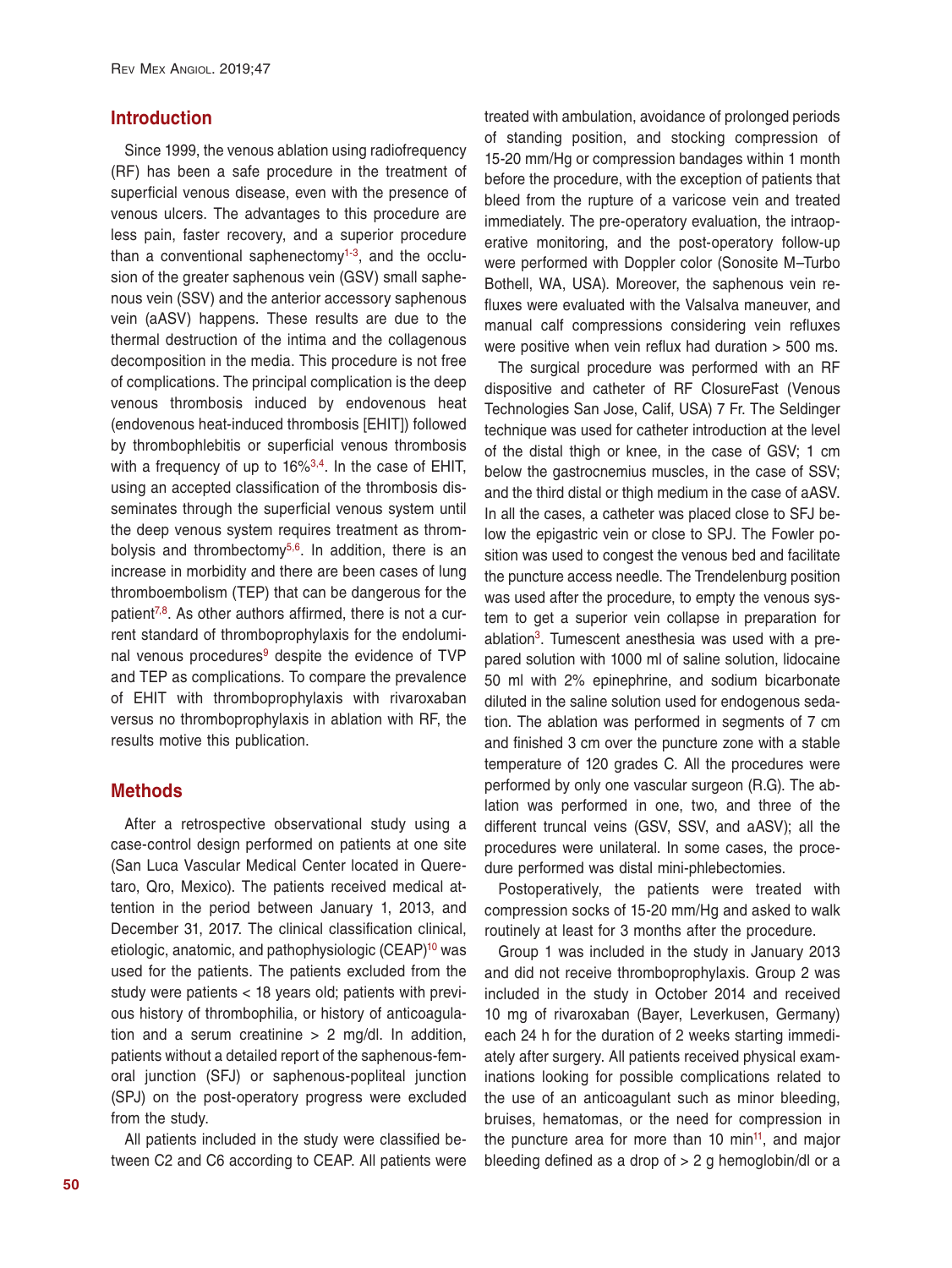### **Introduction**

Since 1999, the venous ablation using radiofrequency (RF) has been a safe procedure in the treatment of superficial venous disease, even with the presence of venous ulcers. The advantages to this procedure are less pain, faster recovery, and a superior procedure than a conventional saphenectom $v^{1-3}$  $v^{1-3}$  $v^{1-3}$ , and the occlusion of the greater saphenous vein (GSV) small saphenous vein (SSV) and the anterior accessory saphenous vein (aASV) happens. These results are due to the thermal destruction of the intima and the collagenous decomposition in the media. This procedure is not free of complications. The principal complication is the deep venous thrombosis induced by endovenous heat (endovenous heat-induced thrombosis [EHIT]) followed by thrombophlebitis or superficial venous thrombosis with a frequency of up to  $16\frac{3}{4}$ . In the case of EHIT, using an accepted classification of the thrombosis disseminates through the superficial venous system until the deep venous system requires treatment as thrombolysis and thrombectom $v^{5,6}$ . In addition, there is an increase in morbidity and there are been cases of lung thromboembolism (TEP) that can be dangerous for the patient<sup>[7,](#page-3-5)8</sup>. As other authors affirmed, there is not a current standard of thromboprophylaxis for the endolumi-nal venous procedures<sup>[9](#page-3-7)</sup> despite the evidence of TVP and TEP as complications. To compare the prevalence of EHIT with thromboprophylaxis with rivaroxaban versus no thromboprophylaxis in ablation with RF, the results motive this publication.

## **Methods**

After a retrospective observational study using a case-control design performed on patients at one site (San Luca Vascular Medical Center located in Queretaro, Qro, Mexico). The patients received medical attention in the period between January 1, 2013, and December 31, 2017. The clinical classification clinical, etiologic, anatomic, and pathophysiologic (CEAP)<sup>10</sup> was used for the patients. The patients excluded from the study were patients < 18 years old; patients with previous history of thrombophilia, or history of anticoagulation and a serum creatinine  $> 2$  mg/dl. In addition, patients without a detailed report of the saphenous-femoral junction (SFJ) or saphenous-popliteal junction (SPJ) on the post-operatory progress were excluded from the study.

All patients included in the study were classified between C2 and C6 according to CEAP. All patients were

treated with ambulation, avoidance of prolonged periods of standing position, and stocking compression of 15-20 mm/Hg or compression bandages within 1 month before the procedure, with the exception of patients that bleed from the rupture of a varicose vein and treated immediately. The pre-operatory evaluation, the intraoperative monitoring, and the post-operatory follow-up were performed with Doppler color (Sonosite M–Turbo Bothell, WA, USA). Moreover, the saphenous vein refluxes were evaluated with the Valsalva maneuver, and manual calf compressions considering vein refluxes were positive when vein reflux had duration > 500 ms.

The surgical procedure was performed with an RF dispositive and catheter of RF ClosureFast (Venous Technologies San Jose, Calif, USA) 7 Fr. The Seldinger technique was used for catheter introduction at the level of the distal thigh or knee, in the case of GSV; 1 cm below the gastrocnemius muscles, in the case of SSV; and the third distal or thigh medium in the case of aASV. In all the cases, a catheter was placed close to SFJ below the epigastric vein or close to SPJ. The Fowler position was used to congest the venous bed and facilitate the puncture access needle. The Trendelenburg position was used after the procedure, to empty the venous system to get a superior vein collapse in preparation for ablation<sup>[3](#page-3-1)</sup>. Tumescent anesthesia was used with a prepared solution with 1000 ml of saline solution, lidocaine 50 ml with 2% epinephrine, and sodium bicarbonate diluted in the saline solution used for endogenous sedation. The ablation was performed in segments of 7 cm and finished 3 cm over the puncture zone with a stable temperature of 120 grades C. All the procedures were performed by only one vascular surgeon (R.G). The ablation was performed in one, two, and three of the different truncal veins (GSV, SSV, and aASV); all the procedures were unilateral. In some cases, the procedure performed was distal mini-phlebectomies.

Postoperatively, the patients were treated with compression socks of 15-20 mm/Hg and asked to walk routinely at least for 3 months after the procedure.

Group 1 was included in the study in January 2013 and did not receive thromboprophylaxis. Group 2 was included in the study in October 2014 and received 10 mg of rivaroxaban (Bayer, Leverkusen, Germany) each 24 h for the duration of 2 weeks starting immediately after surgery. All patients received physical examinations looking for possible complications related to the use of an anticoagulant such as minor bleeding, bruises, hematomas, or the need for compression in the puncture area for more than 10  $min<sup>11</sup>$ , and major bleeding defined as a drop of  $> 2$  g hemoglobin/dl or a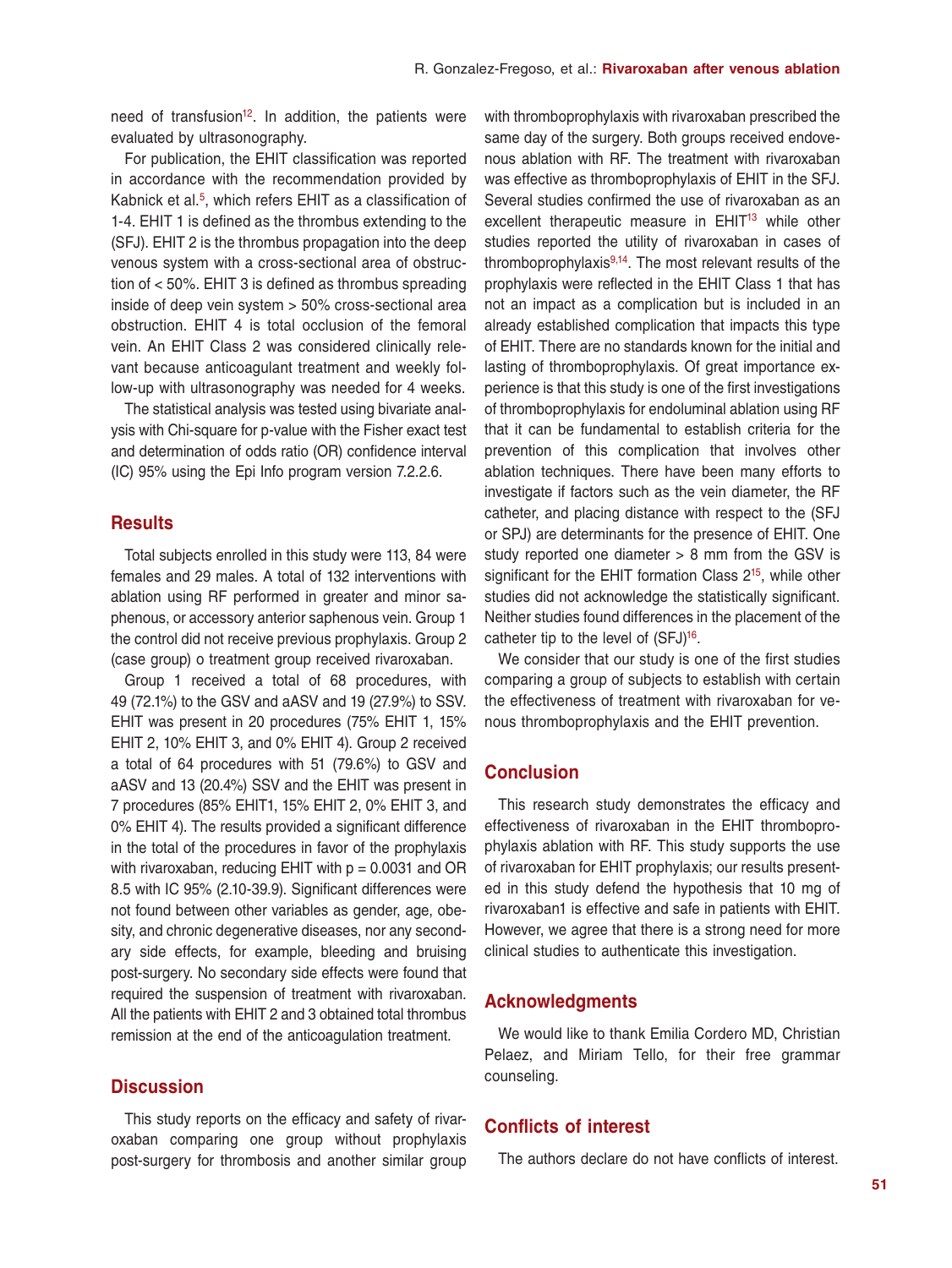need of transfusion<sup>12</sup>. In addition, the patients were evaluated by ultrasonography.

For publication, the EHIT classification was reported in accordance with the recommendation provided by Kabnick et al.[5](#page-3-3), which refers EHIT as a classification of 1-4. EHIT 1 is defined as the thrombus extending to the (SFJ). EHIT 2 is the thrombus propagation into the deep venous system with a cross-sectional area of obstruction of < 50%. EHIT 3 is defined as thrombus spreading inside of deep vein system > 50% cross-sectional area obstruction. EHIT 4 is total occlusion of the femoral vein. An EHIT Class 2 was considered clinically relevant because anticoagulant treatment and weekly follow-up with ultrasonography was needed for 4 weeks.

The statistical analysis was tested using bivariate analysis with Chi-square for p-value with the Fisher exact test and determination of odds ratio (OR) confidence interval (IC) 95% using the Epi Info program version 7.2.2.6.

## **Results**

Total subjects enrolled in this study were 113, 84 were females and 29 males. A total of 132 interventions with ablation using RF performed in greater and minor saphenous, or accessory anterior saphenous vein. Group 1 the control did not receive previous prophylaxis. Group 2 (case group) o treatment group received rivaroxaban.

Group 1 received a total of 68 procedures, with 49 (72.1%) to the GSV and aASV and 19 (27.9%) to SSV. EHIT was present in 20 procedures (75% EHIT 1, 15% EHIT 2, 10% EHIT 3, and 0% EHIT 4). Group 2 received a total of 64 procedures with 51 (79.6%) to GSV and aASV and 13 (20.4%) SSV and the EHIT was present in 7 procedures (85% EHIT1, 15% EHIT 2, 0% EHIT 3, and 0% EHIT 4). The results provided a significant difference in the total of the procedures in favor of the prophylaxis with rivaroxaban, reducing EHIT with  $p = 0.0031$  and OR 8.5 with IC 95% (2.10-39.9). Significant differences were not found between other variables as gender, age, obesity, and chronic degenerative diseases, nor any secondary side effects, for example, bleeding and bruising post-surgery. No secondary side effects were found that required the suspension of treatment with rivaroxaban. All the patients with EHIT 2 and 3 obtained total thrombus remission at the end of the anticoagulation treatment.

#### **Discussion**

This study reports on the efficacy and safety of rivaroxaban comparing one group without prophylaxis post-surgery for thrombosis and another similar group

with thromboprophylaxis with rivaroxaban prescribed the same day of the surgery. Both groups received endovenous ablation with RF. The treatment with rivaroxaban was effective as thromboprophylaxis of EHIT in the SFJ. Several studies confirmed the use of rivaroxaban as an excellent therapeutic measure in EHIT<sup>13</sup> while other studies reported the utility of rivaroxaban in cases of thromboprophylaxis $9,14$  $9,14$ . The most relevant results of the prophylaxis were reflected in the EHIT Class 1 that has not an impact as a complication but is included in an already established complication that impacts this type of EHIT. There are no standards known for the initial and lasting of thromboprophylaxis. Of great importance experience is that this study is one of the first investigations of thromboprophylaxis for endoluminal ablation using RF that it can be fundamental to establish criteria for the prevention of this complication that involves other ablation techniques. There have been many efforts to investigate if factors such as the vein diameter, the RF catheter, and placing distance with respect to the (SFJ or SPJ) are determinants for the presence of EHIT. One study reported one diameter > 8 mm from the GSV is significant for the EHIT formation Class 2<sup>15</sup>, while other studies did not acknowledge the statistically significant. Neither studies found differences in the placement of the catheter tip to the level of  $(SFJ)^{16}$ .

We consider that our study is one of the first studies comparing a group of subjects to establish with certain the effectiveness of treatment with rivaroxaban for venous thromboprophylaxis and the EHIT prevention.

## **Conclusion**

This research study demonstrates the efficacy and effectiveness of rivaroxaban in the EHIT thromboprophylaxis ablation with RF. This study supports the use of rivaroxaban for EHIT prophylaxis; our results presented in this study defend the hypothesis that 10 mg of rivaroxaban1 is effective and safe in patients with EHIT. However, we agree that there is a strong need for more clinical studies to authenticate this investigation.

#### **Acknowledgments**

We would like to thank Emilia Cordero MD, Christian Pelaez, and Miriam Tello, for their free grammar counseling.

## **Conflicts of interest**

The authors declare do not have conflicts of interest.